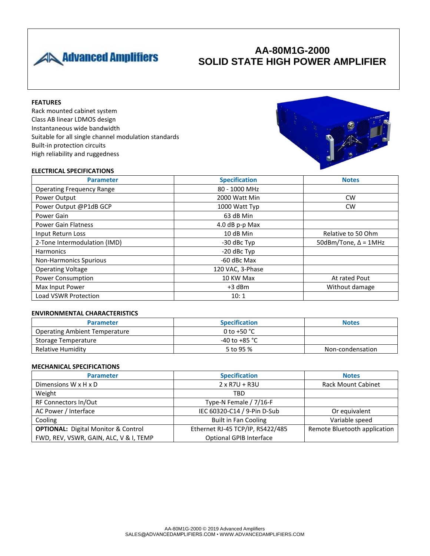

# **AA-80M1G-2000 SOLID STATE HIGH POWER AMPLIFIER**

## **FEATURES**

Rack mounted cabinet system Class AB linear LDMOS design Instantaneous wide bandwidth Suitable for all single channel modulation standards Built-in protection circuits High reliability and ruggedness



### **ELECTRICAL SPECIFICATIONS**

| <b>Parameter</b>                 | <b>Specification</b> | <b>Notes</b>                |
|----------------------------------|----------------------|-----------------------------|
| <b>Operating Frequency Range</b> | 80 - 1000 MHz        |                             |
| Power Output                     | 2000 Watt Min        | <b>CW</b>                   |
| Power Output @P1dB GCP           | 1000 Watt Typ        | <b>CW</b>                   |
| Power Gain                       | 63 dB Min            |                             |
| <b>Power Gain Flatness</b>       | 4.0 dB p-p Max       |                             |
| Input Return Loss                | 10 dB Min            | Relative to 50 Ohm          |
| 2-Tone Intermodulation (IMD)     | -30 dBc Typ          | 50dBm/Tone, $\Delta$ = 1MHz |
| <b>Harmonics</b>                 | -20 dBc Typ          |                             |
| <b>Non-Harmonics Spurious</b>    | -60 dBc Max          |                             |
| <b>Operating Voltage</b>         | 120 VAC, 3-Phase     |                             |
| <b>Power Consumption</b>         | 10 KW Max            | At rated Pout               |
| Max Input Power                  | $+3$ dBm             | Without damage              |
| <b>Load VSWR Protection</b>      | 10:1                 |                             |

#### **ENVIRONMENTAL CHARACTERISTICS**

| <b>Parameter</b>                     | <b>Specification</b>    | <b>Notes</b>     |
|--------------------------------------|-------------------------|------------------|
| <b>Operating Ambient Temperature</b> | 0 to +50 $^{\circ}$ C   |                  |
| Storage Temperature                  | -40 to +85 $^{\circ}$ C |                  |
| Relative Humidity                    | 5 to 95 %               | Non-condensation |

### **MECHANICAL SPECIFICATIONS**

| <b>Parameter</b>                           | <b>Specification</b>             | <b>Notes</b>                 |
|--------------------------------------------|----------------------------------|------------------------------|
| Dimensions $W \times H \times D$           | $2 \times R7U + R3U$             | <b>Rack Mount Cabinet</b>    |
| Weight                                     | TBD                              |                              |
| RF Connectors In/Out                       | Type-N Female / 7/16-F           |                              |
| AC Power / Interface                       | IEC 60320-C14 / 9-Pin D-Sub      | Or equivalent                |
| Cooling                                    | <b>Built in Fan Cooling</b>      | Variable speed               |
| <b>OPTIONAL:</b> Digital Monitor & Control | Ethernet RJ-45 TCP/IP, RS422/485 | Remote Bluetooth application |
| FWD, REV, VSWR, GAIN, ALC, V & I, TEMP     | <b>Optional GPIB Interface</b>   |                              |